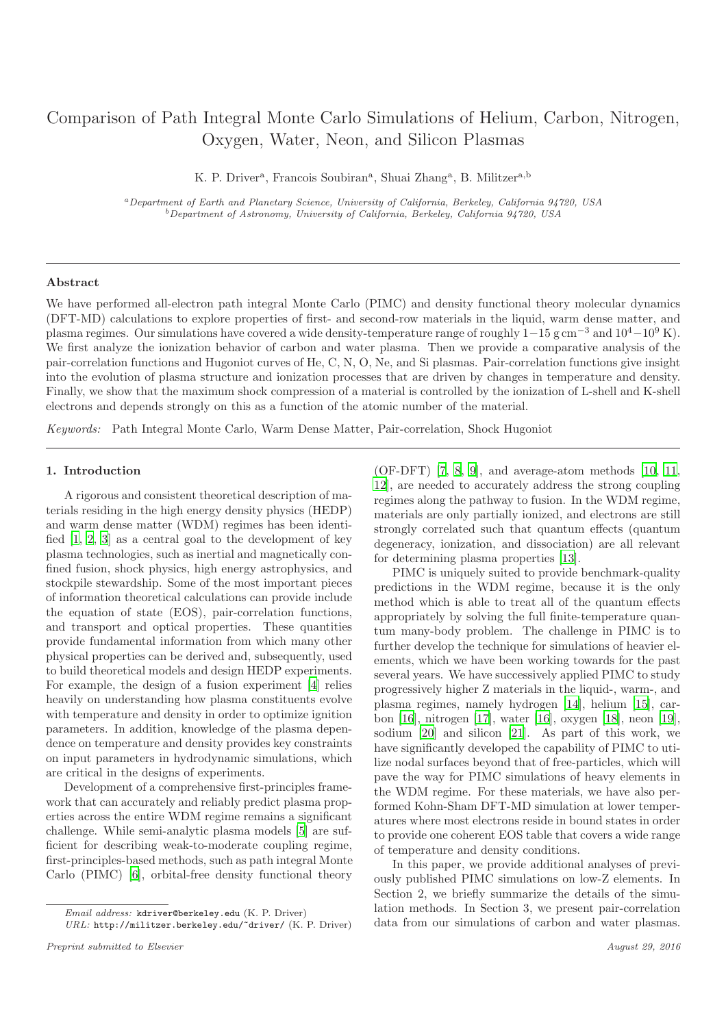# Comparison of Path Integral Monte Carlo Simulations of Helium, Carbon, Nitrogen, Oxygen, Water, Neon, and Silicon Plasmas

K. P. Driver<sup>a</sup>, Francois Soubiran<sup>a</sup>, Shuai Zhang<sup>a</sup>, B. Militzer<sup>a,b</sup>

<sup>a</sup>Department of Earth and Planetary Science, University of California, Berkeley, California 94720, USA  $^{b}$  Department of Astronomy, University of California, Berkeley, California 94720, USA

#### Abstract

We have performed all-electron path integral Monte Carlo (PIMC) and density functional theory molecular dynamics (DFT-MD) calculations to explore properties of first- and second-row materials in the liquid, warm dense matter, and plasma regimes. Our simulations have covered a wide density-temperature range of roughly  $1-15$  g cm<sup>-3</sup> and  $10^4-10^9$  K). We first analyze the ionization behavior of carbon and water plasma. Then we provide a comparative analysis of the pair-correlation functions and Hugoniot curves of He, C, N, O, Ne, and Si plasmas. Pair-correlation functions give insight into the evolution of plasma structure and ionization processes that are driven by changes in temperature and density. Finally, we show that the maximum shock compression of a material is controlled by the ionization of L-shell and K-shell electrons and depends strongly on this as a function of the atomic number of the material.

Keywords: Path Integral Monte Carlo, Warm Dense Matter, Pair-correlation, Shock Hugoniot

#### 1. Introduction

A rigorous and consistent theoretical description of materials residing in the high energy density physics (HEDP) and warm dense matter (WDM) regimes has been identified [\[1,](#page-11-0) [2,](#page-11-1) [3](#page-11-2)] as a central goal to the development of key plasma technologies, such as inertial and magnetically confined fusion, shock physics, high energy astrophysics, and stockpile stewardship. Some of the most important pieces of information theoretical calculations can provide include the equation of state (EOS), pair-correlation functions, and transport and optical properties. These quantities provide fundamental information from which many other physical properties can be derived and, subsequently, used to build theoretical models and design HEDP experiments. For example, the design of a fusion experiment [\[4\]](#page-11-3) relies heavily on understanding how plasma constituents evolve with temperature and density in order to optimize ignition parameters. In addition, knowledge of the plasma dependence on temperature and density provides key constraints on input parameters in hydrodynamic simulations, which are critical in the designs of experiments.

Development of a comprehensive first-principles framework that can accurately and reliably predict plasma properties across the entire WDM regime remains a significant challenge. While semi-analytic plasma models [\[5\]](#page-11-4) are sufficient for describing weak-to-moderate coupling regime, first-principles-based methods, such as path integral Monte Carlo (PIMC) [\[6](#page-11-5)], orbital-free density functional theory

(OF-DFT) [\[7,](#page-11-6) [8,](#page-11-7) [9](#page-11-8)], and average-atom methods [\[10,](#page-11-9) [11,](#page-11-10) [12\]](#page-11-11), are needed to accurately address the strong coupling regimes along the pathway to fusion. In the WDM regime, materials are only partially ionized, and electrons are still strongly correlated such that quantum effects (quantum degeneracy, ionization, and dissociation) are all relevant for determining plasma properties [\[13\]](#page-11-12).

PIMC is uniquely suited to provide benchmark-quality predictions in the WDM regime, because it is the only method which is able to treat all of the quantum effects appropriately by solving the full finite-temperature quantum many-body problem. The challenge in PIMC is to further develop the technique for simulations of heavier elements, which we have been working towards for the past several years. We have successively applied PIMC to study progressively higher Z materials in the liquid-, warm-, and plasma regimes, namely hydrogen [\[14](#page-11-13)], helium [\[15\]](#page-11-14), carbon [\[16](#page-11-15)], nitrogen [\[17\]](#page-11-16), water [\[16](#page-11-15)], oxygen [\[18](#page-11-17)], neon [\[19](#page-11-18)], sodium [\[20\]](#page-11-19) and silicon [\[21](#page-11-20)]. As part of this work, we have significantly developed the capability of PIMC to utilize nodal surfaces beyond that of free-particles, which will pave the way for PIMC simulations of heavy elements in the WDM regime. For these materials, we have also performed Kohn-Sham DFT-MD simulation at lower temperatures where most electrons reside in bound states in order to provide one coherent EOS table that covers a wide range of temperature and density conditions.

In this paper, we provide additional analyses of previously published PIMC simulations on low-Z elements. In Section 2, we briefly summarize the details of the simulation methods. In Section 3, we present pair-correlation data from our simulations of carbon and water plasmas.

Email address: kdriver@berkeley.edu (K. P. Driver)

URL: http://militzer.berkeley.edu/~driver/ (K. P. Driver)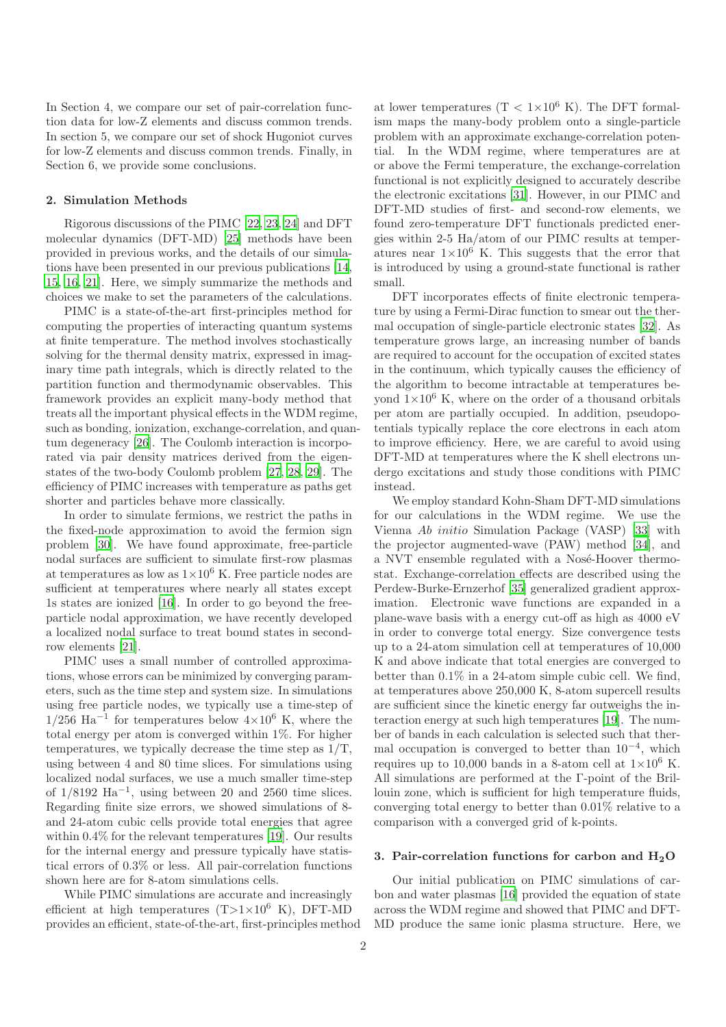In Section 4, we compare our set of pair-correlation function data for low-Z elements and discuss common trends. In section 5, we compare our set of shock Hugoniot curves for low-Z elements and discuss common trends. Finally, in Section 6, we provide some conclusions.

## 2. Simulation Methods

Rigorous discussions of the PIMC [\[22,](#page-11-21) [23,](#page-11-22) [24](#page-11-23)] and DFT molecular dynamics (DFT-MD) [\[25\]](#page-11-24) methods have been provided in previous works, and the details of our simulations have been presented in our previous publications [\[14,](#page-11-13) [15,](#page-11-14) [16,](#page-11-15) [21](#page-11-20)]. Here, we simply summarize the methods and choices we make to set the parameters of the calculations.

PIMC is a state-of-the-art first-principles method for computing the properties of interacting quantum systems at finite temperature. The method involves stochastically solving for the thermal density matrix, expressed in imaginary time path integrals, which is directly related to the partition function and thermodynamic observables. This framework provides an explicit many-body method that treats all the important physical effects in the WDM regime, such as bonding, ionization, exchange-correlation, and quantum degeneracy [\[26\]](#page-11-25). The Coulomb interaction is incorporated via pair density matrices derived from the eigenstates of the two-body Coulomb problem [\[27](#page-11-26), [28,](#page-11-27) [29\]](#page-11-28). The efficiency of PIMC increases with temperature as paths get shorter and particles behave more classically.

In order to simulate fermions, we restrict the paths in the fixed-node approximation to avoid the fermion sign problem [\[30](#page-11-29)]. We have found approximate, free-particle nodal surfaces are sufficient to simulate first-row plasmas at temperatures as low as  $1\times10^6$  K. Free particle nodes are sufficient at temperatures where nearly all states except 1s states are ionized [\[16](#page-11-15)]. In order to go beyond the freeparticle nodal approximation, we have recently developed a localized nodal surface to treat bound states in secondrow elements [\[21](#page-11-20)].

PIMC uses a small number of controlled approximations, whose errors can be minimized by converging parameters, such as the time step and system size. In simulations using free particle nodes, we typically use a time-step of  $1/256$  Ha<sup>-1</sup> for temperatures below  $4\times10^6$  K, where the total energy per atom is converged within 1%. For higher temperatures, we typically decrease the time step as 1/T, using between 4 and 80 time slices. For simulations using localized nodal surfaces, we use a much smaller time-step of  $1/8192$  Ha<sup>-1</sup>, using between 20 and 2560 time slices. Regarding finite size errors, we showed simulations of 8 and 24-atom cubic cells provide total energies that agree within 0.4% for the relevant temperatures [\[19](#page-11-18)]. Our results for the internal energy and pressure typically have statistical errors of 0.3% or less. All pair-correlation functions shown here are for 8-atom simulations cells.

While PIMC simulations are accurate and increasingly efficient at high temperatures  $(T>1\times10^6$  K), DFT-MD provides an efficient, state-of-the-art, first-principles method at lower temperatures  $(T < 1 \times 10^6 \text{ K})$ . The DFT formalism maps the many-body problem onto a single-particle problem with an approximate exchange-correlation potential. In the WDM regime, where temperatures are at or above the Fermi temperature, the exchange-correlation functional is not explicitly designed to accurately describe the electronic excitations [\[31\]](#page-11-30). However, in our PIMC and DFT-MD studies of first- and second-row elements, we found zero-temperature DFT functionals predicted energies within 2-5 Ha/atom of our PIMC results at temperatures near  $1\times10^6$  K. This suggests that the error that is introduced by using a ground-state functional is rather small.

DFT incorporates effects of finite electronic temperature by using a Fermi-Dirac function to smear out the thermal occupation of single-particle electronic states [\[32](#page-11-31)]. As temperature grows large, an increasing number of bands are required to account for the occupation of excited states in the continuum, which typically causes the efficiency of the algorithm to become intractable at temperatures beyond  $1\times10^6$  K, where on the order of a thousand orbitals per atom are partially occupied. In addition, pseudopotentials typically replace the core electrons in each atom to improve efficiency. Here, we are careful to avoid using DFT-MD at temperatures where the K shell electrons undergo excitations and study those conditions with PIMC instead.

We employ standard Kohn-Sham DFT-MD simulations for our calculations in the WDM regime. We use the Vienna Ab initio Simulation Package (VASP) [\[33\]](#page-11-32) with the projector augmented-wave (PAW) method [\[34](#page-11-33)], and a NVT ensemble regulated with a Nosé-Hoover thermostat. Exchange-correlation effects are described using the Perdew-Burke-Ernzerhof [\[35](#page-11-34)] generalized gradient approximation. Electronic wave functions are expanded in a plane-wave basis with a energy cut-off as high as 4000 eV in order to converge total energy. Size convergence tests up to a 24-atom simulation cell at temperatures of 10,000 K and above indicate that total energies are converged to better than 0.1% in a 24-atom simple cubic cell. We find, at temperatures above 250,000 K, 8-atom supercell results are sufficient since the kinetic energy far outweighs the interaction energy at such high temperatures [\[19\]](#page-11-18). The number of bands in each calculation is selected such that thermal occupation is converged to better than  $10^{-4}$ , which requires up to 10,000 bands in a 8-atom cell at  $1\times10^6$  K. All simulations are performed at the Γ-point of the Brillouin zone, which is sufficient for high temperature fluids, converging total energy to better than 0.01% relative to a comparison with a converged grid of k-points.

# 3. Pair-correlation functions for carbon and  $H_2O$

Our initial publication on PIMC simulations of carbon and water plasmas [\[16](#page-11-15)] provided the equation of state across the WDM regime and showed that PIMC and DFT-MD produce the same ionic plasma structure. Here, we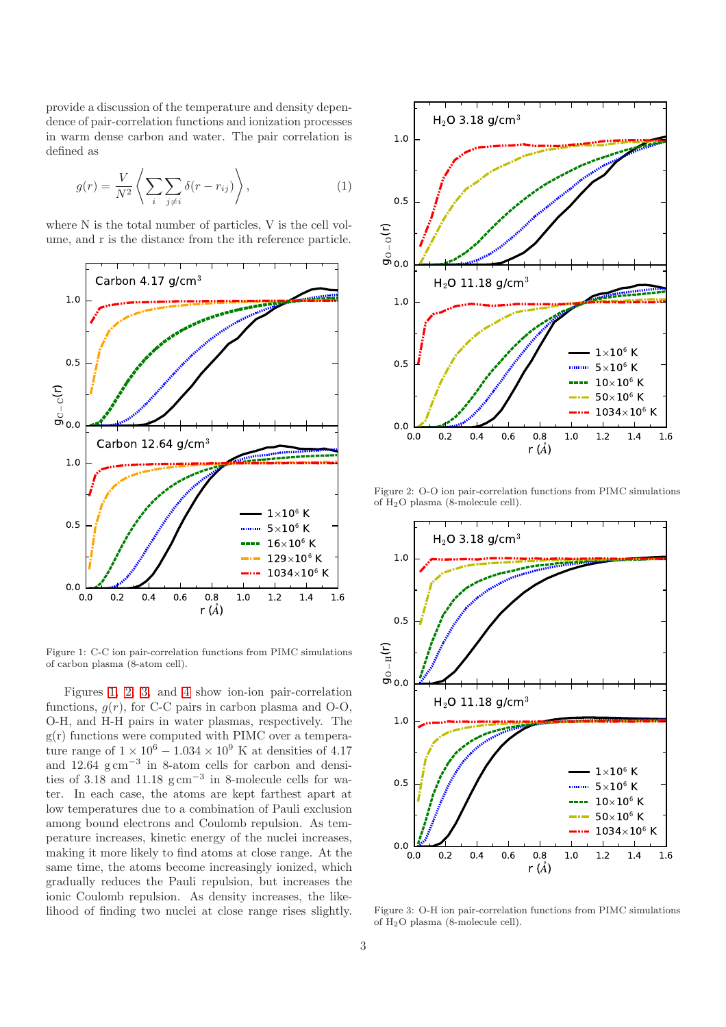provide a discussion of the temperature and density dependence of pair-correlation functions and ionization processes in warm dense carbon and water. The pair correlation is defined as

$$
g(r) = \frac{V}{N^2} \left\langle \sum_{i} \sum_{j \neq i} \delta(r - r_{ij}) \right\rangle, \tag{1}
$$

where N is the total number of particles, V is the cell volume, and r is the distance from the ith reference particle.



<span id="page-2-0"></span>Figure 1: C-C ion pair-correlation functions from PIMC simulations of carbon plasma (8-atom cell).

Figures [1,](#page-2-0) [2,](#page-2-1) [3,](#page-2-2) and [4](#page-3-0) show ion-ion pair-correlation functions,  $g(r)$ , for C-C pairs in carbon plasma and O-O, O-H, and H-H pairs in water plasmas, respectively. The  $g(r)$  functions were computed with PIMC over a temperature range of  $1 \times 10^6 - 1.034 \times 10^9$  K at densities of 4.17 and  $12.64~\mathrm{g\,cm}^{-3}$  in 8-atom cells for carbon and densities of 3.18 and 11.18  $\text{g cm}^{-3}$  in 8-molecule cells for water. In each case, the atoms are kept farthest apart at low temperatures due to a combination of Pauli exclusion among bound electrons and Coulomb repulsion. As temperature increases, kinetic energy of the nuclei increases, making it more likely to find atoms at close range. At the same time, the atoms become increasingly ionized, which gradually reduces the Pauli repulsion, but increases the ionic Coulomb repulsion. As density increases, the likelihood of finding two nuclei at close range rises slightly.



<span id="page-2-1"></span>Figure 2: O-O ion pair-correlation functions from PIMC simulations of H2O plasma (8-molecule cell).



<span id="page-2-2"></span>Figure 3: O-H ion pair-correlation functions from PIMC simulations of H2O plasma (8-molecule cell).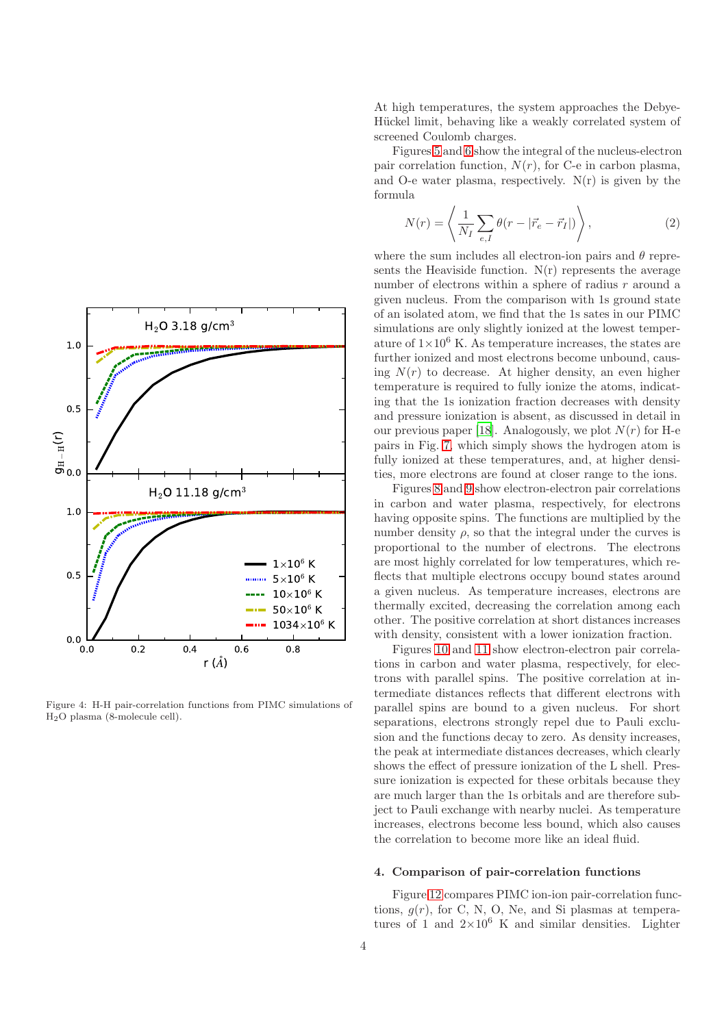

<span id="page-3-0"></span>Figure 4: H-H pair-correlation functions from PIMC simulations of H2O plasma (8-molecule cell).

At high temperatures, the system approaches the Debye-Hückel limit, behaving like a weakly correlated system of screened Coulomb charges.

Figures [5](#page-4-0) and [6](#page-4-1) show the integral of the nucleus-electron pair correlation function,  $N(r)$ , for C-e in carbon plasma, and O-e water plasma, respectively.  $N(r)$  is given by the formula

$$
N(r) = \left\langle \frac{1}{N_I} \sum_{e,I} \theta(r - |\vec{r}_e - \vec{r}_I|) \right\rangle, \tag{2}
$$

where the sum includes all electron-ion pairs and  $\theta$  represents the Heaviside function.  $N(r)$  represents the average number of electrons within a sphere of radius  $r$  around a given nucleus. From the comparison with 1s ground state of an isolated atom, we find that the 1s sates in our PIMC simulations are only slightly ionized at the lowest temperature of  $1\times10^6$  K. As temperature increases, the states are further ionized and most electrons become unbound, causing  $N(r)$  to decrease. At higher density, an even higher temperature is required to fully ionize the atoms, indicating that the 1s ionization fraction decreases with density and pressure ionization is absent, as discussed in detail in our previous paper [\[18](#page-11-17)]. Analogously, we plot  $N(r)$  for H-e pairs in Fig. [7,](#page-5-0) which simply shows the hydrogen atom is fully ionized at these temperatures, and, at higher densities, more electrons are found at closer range to the ions.

Figures [8](#page-5-1) and [9](#page-6-0) show electron-electron pair correlations in carbon and water plasma, respectively, for electrons having opposite spins. The functions are multiplied by the number density  $\rho$ , so that the integral under the curves is proportional to the number of electrons. The electrons are most highly correlated for low temperatures, which reflects that multiple electrons occupy bound states around a given nucleus. As temperature increases, electrons are thermally excited, decreasing the correlation among each other. The positive correlation at short distances increases with density, consistent with a lower ionization fraction.

Figures [10](#page-6-1) and [11](#page-7-0) show electron-electron pair correlations in carbon and water plasma, respectively, for electrons with parallel spins. The positive correlation at intermediate distances reflects that different electrons with parallel spins are bound to a given nucleus. For short separations, electrons strongly repel due to Pauli exclusion and the functions decay to zero. As density increases, the peak at intermediate distances decreases, which clearly shows the effect of pressure ionization of the L shell. Pressure ionization is expected for these orbitals because they are much larger than the 1s orbitals and are therefore subject to Pauli exchange with nearby nuclei. As temperature increases, electrons become less bound, which also causes the correlation to become more like an ideal fluid.

# 4. Comparison of pair-correlation functions

Figure [12](#page-7-1) compares PIMC ion-ion pair-correlation functions,  $g(r)$ , for C, N, O, Ne, and Si plasmas at temperatures of 1 and  $2\times10^6$  K and similar densities. Lighter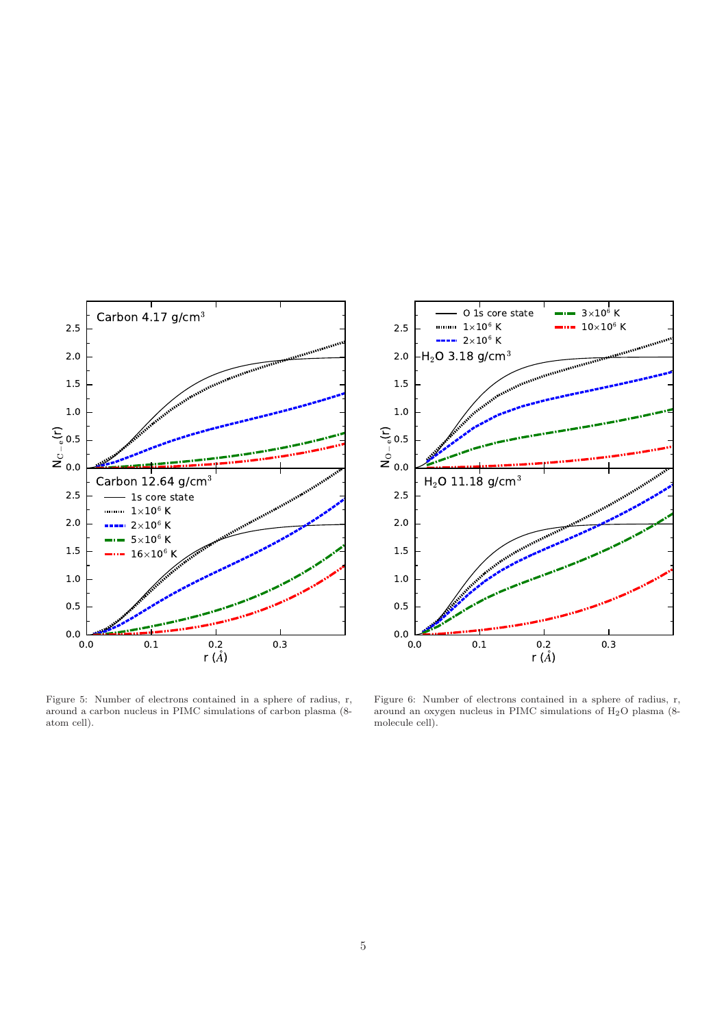

<span id="page-4-0"></span>Figure 5: Number of electrons contained in a sphere of radius, r, around a carbon nucleus in PIMC simulations of carbon plasma (8 atom cell).



<span id="page-4-1"></span>Figure 6: Number of electrons contained in a sphere of radius, r, around an oxygen nucleus in PIMC simulations of H2O plasma (8 molecule cell).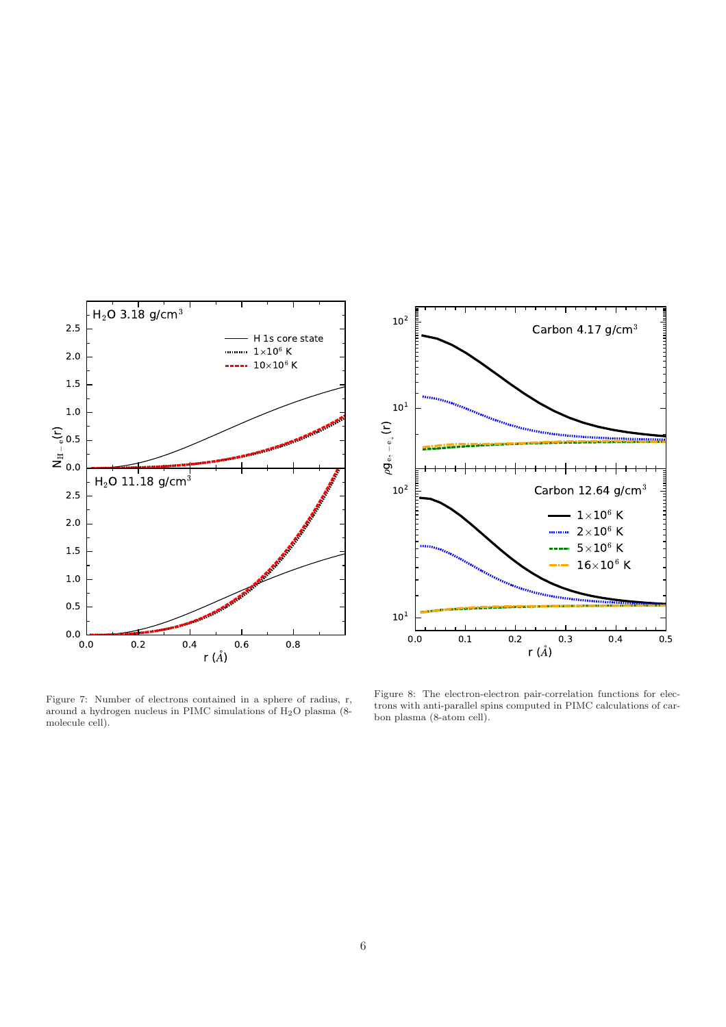

 $10<sup>2</sup>$ Carbon 4.17  $g/cm<sup>3</sup>$  $10^1\,$  $\bigoplus_{\mathfrak{g} \downarrow}$ e<br>←<br>c  $\mathring{\mathsf{g}}$  $10^2$   $\begin{bmatrix} 1 & 1 & 1 \\ 1 & 1 & 1 \end{bmatrix}$  Carbon 12.64 g/cm<sup>3</sup>  $1\times10^6$  K  $2\times10^6$  K  $5\times10^6$  K  $16\times10^6$  K  $10^1$  $0.5$ 0.0 0.1 0.2 0.3 0.4 0.5 r ( $\AA$ )

<span id="page-5-0"></span>Figure 7: Number of electrons contained in a sphere of radius, r, around a hydrogen nucleus in PIMC simulations of H2O plasma (8 molecule cell).

<span id="page-5-1"></span>Figure 8: The electron-electron pair-correlation functions for electrons with anti-parallel spins computed in PIMC calculations of carbon plasma (8-atom cell).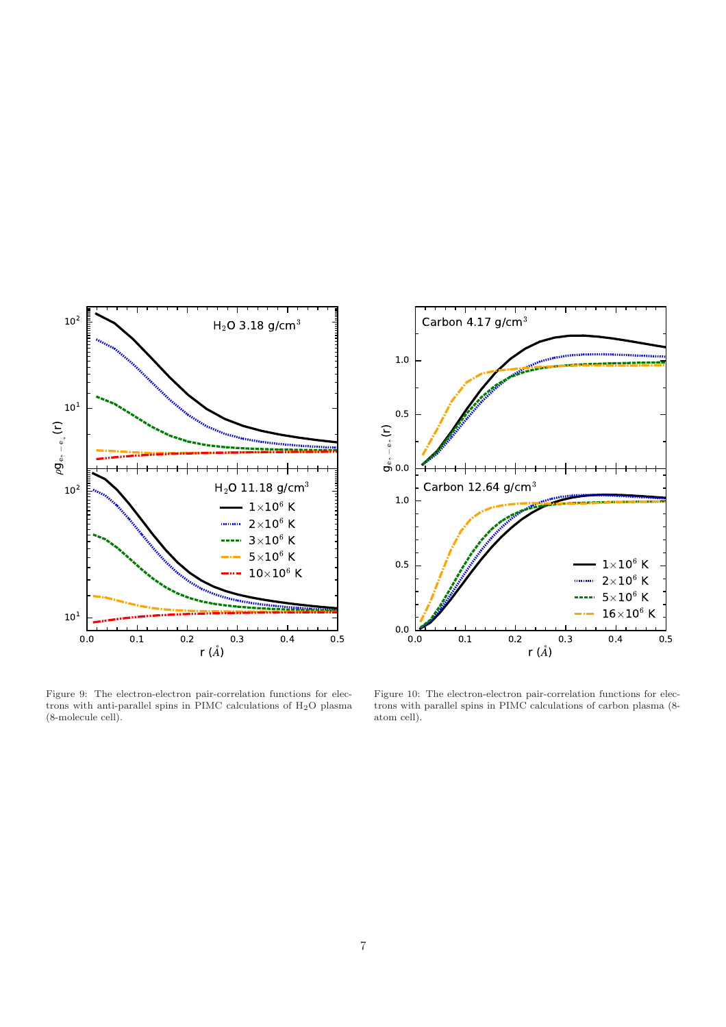

<span id="page-6-0"></span>Figure 9: The electron-electron pair-correlation functions for electrons with anti-parallel spins in PIMC calculations of H2O plasma (8-molecule cell).



<span id="page-6-1"></span>Figure 10: The electron-electron pair-correlation functions for electrons with parallel spins in PIMC calculations of carbon plasma (8 atom cell).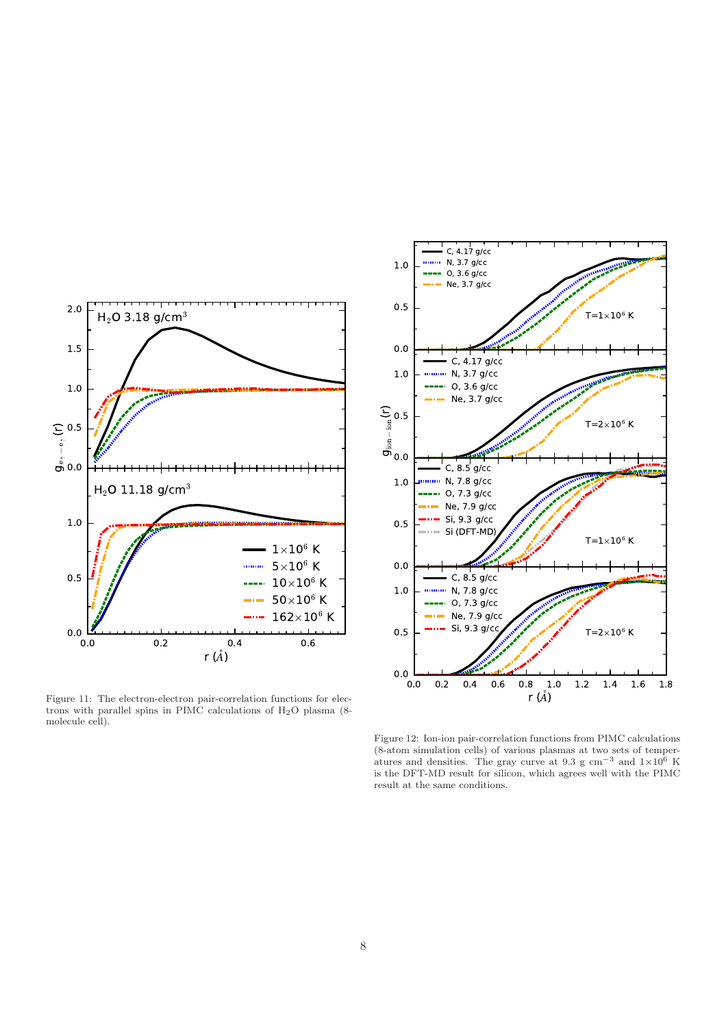

<span id="page-7-0"></span>Figure 11: The electron-electron pair-correlation functions for electrons with parallel spins in PIMC calculations of H2O plasma (8 molecule cell).



<span id="page-7-1"></span>Figure 12: Ion-ion pair-correlation functions from PIMC calculations (8-atom simulation cells) of various plasmas at two sets of temperatures and densities. The gray curve at 9.3 g cm<sup>-3</sup> and  $1\times10^6$  K is the DFT-MD result for silicon, which agrees well with the PIMC result at the same conditions.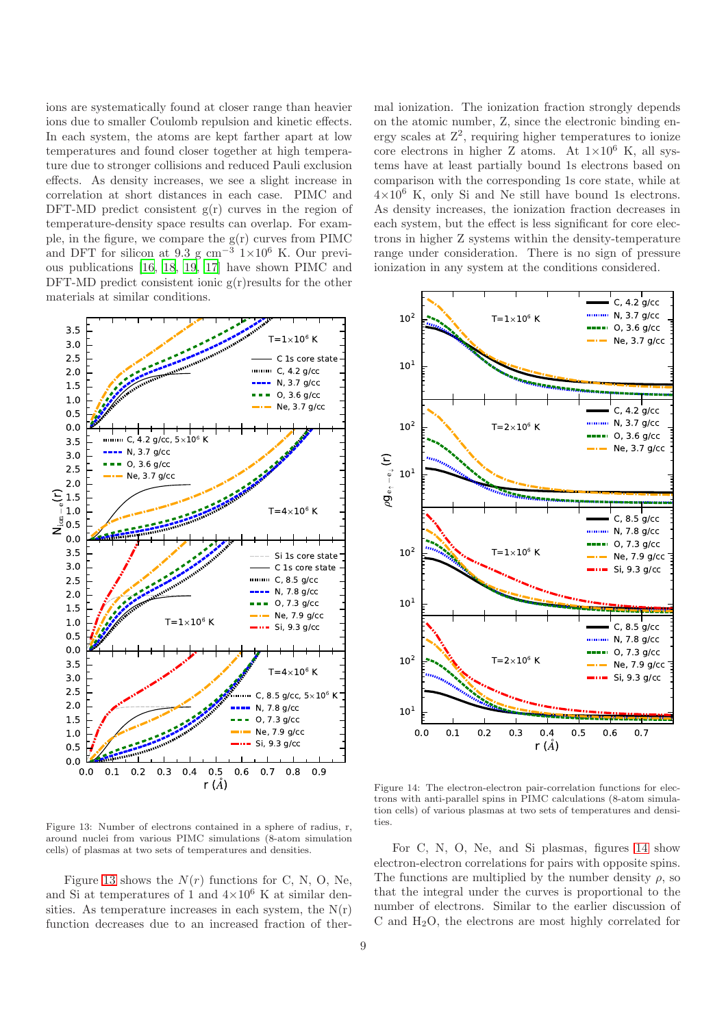ions are systematically found at closer range than heavier ions due to smaller Coulomb repulsion and kinetic effects. In each system, the atoms are kept farther apart at low temperatures and found closer together at high temperature due to stronger collisions and reduced Pauli exclusion effects. As density increases, we see a slight increase in correlation at short distances in each case. PIMC and DFT-MD predict consistent  $g(r)$  curves in the region of temperature-density space results can overlap. For example, in the figure, we compare the  $g(r)$  curves from PIMC and DFT for silicon at  $9.3 \text{ g cm}^{-3}$  1×10<sup>6</sup> K. Our previous publications [\[16,](#page-11-15) [18,](#page-11-17) [19](#page-11-18), [17](#page-11-16)] have shown PIMC and DFT-MD predict consistent ionic  $g(r)$  results for the other materials at similar conditions.



<span id="page-8-0"></span>Figure 13: Number of electrons contained in a sphere of radius, r, around nuclei from various PIMC simulations (8-atom simulation cells) of plasmas at two sets of temperatures and densities.

Figure [13](#page-8-0) shows the  $N(r)$  functions for C, N, O, Ne, and Si at temperatures of 1 and  $4\times10^6$  K at similar densities. As temperature increases in each system, the  $N(r)$ function decreases due to an increased fraction of thermal ionization. The ionization fraction strongly depends on the atomic number, Z, since the electronic binding energy scales at  $Z^2$ , requiring higher temperatures to ionize core electrons in higher Z atoms. At  $1\times10^6$  K, all systems have at least partially bound 1s electrons based on comparison with the corresponding 1s core state, while at  $4\times10^6$  K, only Si and Ne still have bound 1s electrons. As density increases, the ionization fraction decreases in each system, but the effect is less significant for core electrons in higher Z systems within the density-temperature range under consideration. There is no sign of pressure ionization in any system at the conditions considered.



<span id="page-8-1"></span>Figure 14: The electron-electron pair-correlation functions for electrons with anti-parallel spins in PIMC calculations (8-atom simulation cells) of various plasmas at two sets of temperatures and densities.

For C, N, O, Ne, and Si plasmas, figures [14](#page-8-1) show electron-electron correlations for pairs with opposite spins. The functions are multiplied by the number density  $\rho$ , so that the integral under the curves is proportional to the number of electrons. Similar to the earlier discussion of C and H2O, the electrons are most highly correlated for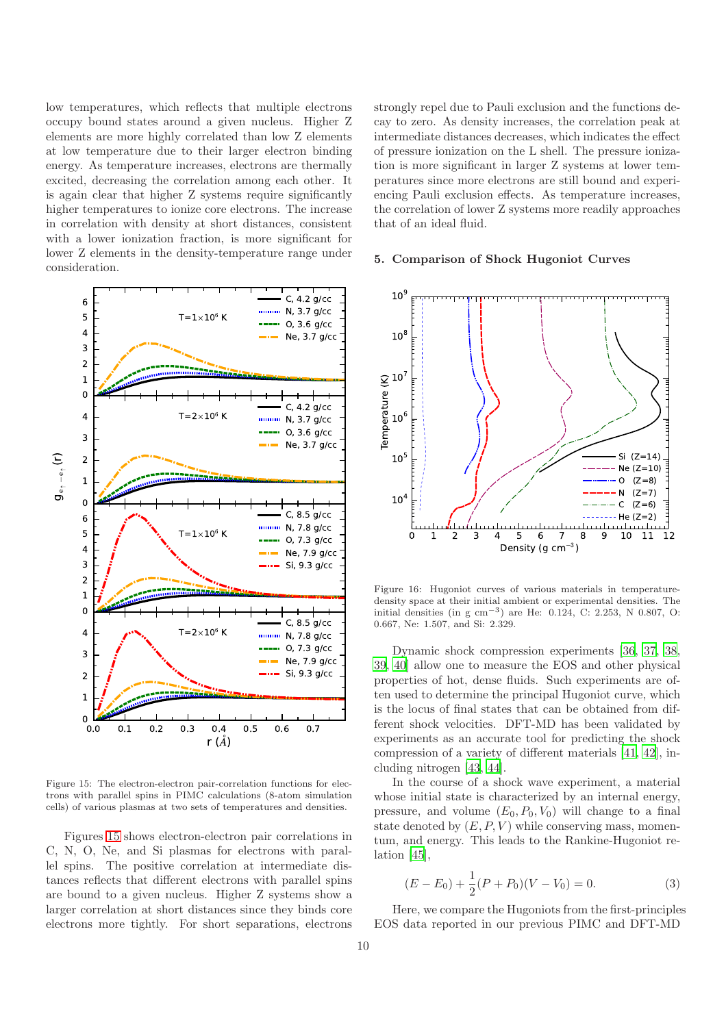low temperatures, which reflects that multiple electrons occupy bound states around a given nucleus. Higher Z elements are more highly correlated than low Z elements at low temperature due to their larger electron binding energy. As temperature increases, electrons are thermally excited, decreasing the correlation among each other. It is again clear that higher Z systems require significantly higher temperatures to ionize core electrons. The increase in correlation with density at short distances, consistent with a lower ionization fraction, is more significant for lower Z elements in the density-temperature range under consideration.



<span id="page-9-0"></span>Figure 15: The electron-electron pair-correlation functions for electrons with parallel spins in PIMC calculations (8-atom simulation cells) of various plasmas at two sets of temperatures and densities.

Figures [15](#page-9-0) shows electron-electron pair correlations in C, N, O, Ne, and Si plasmas for electrons with parallel spins. The positive correlation at intermediate distances reflects that different electrons with parallel spins are bound to a given nucleus. Higher Z systems show a larger correlation at short distances since they binds core electrons more tightly. For short separations, electrons

strongly repel due to Pauli exclusion and the functions decay to zero. As density increases, the correlation peak at intermediate distances decreases, which indicates the effect of pressure ionization on the L shell. The pressure ionization is more significant in larger Z systems at lower temperatures since more electrons are still bound and experiencing Pauli exclusion effects. As temperature increases, the correlation of lower Z systems more readily approaches that of an ideal fluid.

#### 5. Comparison of Shock Hugoniot Curves



<span id="page-9-1"></span>Figure 16: Hugoniot curves of various materials in temperaturedensity space at their initial ambient or experimental densities. The initial densities (in g cm−<sup>3</sup> ) are He: 0.124, C: 2.253, N 0.807, O: 0.667, Ne: 1.507, and Si: 2.329.

Dynamic shock compression experiments [\[36](#page-11-35), [37,](#page-12-0) [38,](#page-12-1) [39,](#page-12-2) [40\]](#page-12-3) allow one to measure the EOS and other physical properties of hot, dense fluids. Such experiments are often used to determine the principal Hugoniot curve, which is the locus of final states that can be obtained from different shock velocities. DFT-MD has been validated by experiments as an accurate tool for predicting the shock compression of a variety of different materials [\[41](#page-12-4), [42](#page-12-5)], including nitrogen [\[43,](#page-12-6) [44\]](#page-12-7).

In the course of a shock wave experiment, a material whose initial state is characterized by an internal energy, pressure, and volume  $(E_0, P_0, V_0)$  will change to a final state denoted by  $(E, P, V)$  while conserving mass, momentum, and energy. This leads to the Rankine-Hugoniot relation [\[45\]](#page-12-8),

$$
(E - E_0) + \frac{1}{2}(P + P_0)(V - V_0) = 0.
$$
 (3)

Here, we compare the Hugoniots from the first-principles EOS data reported in our previous PIMC and DFT-MD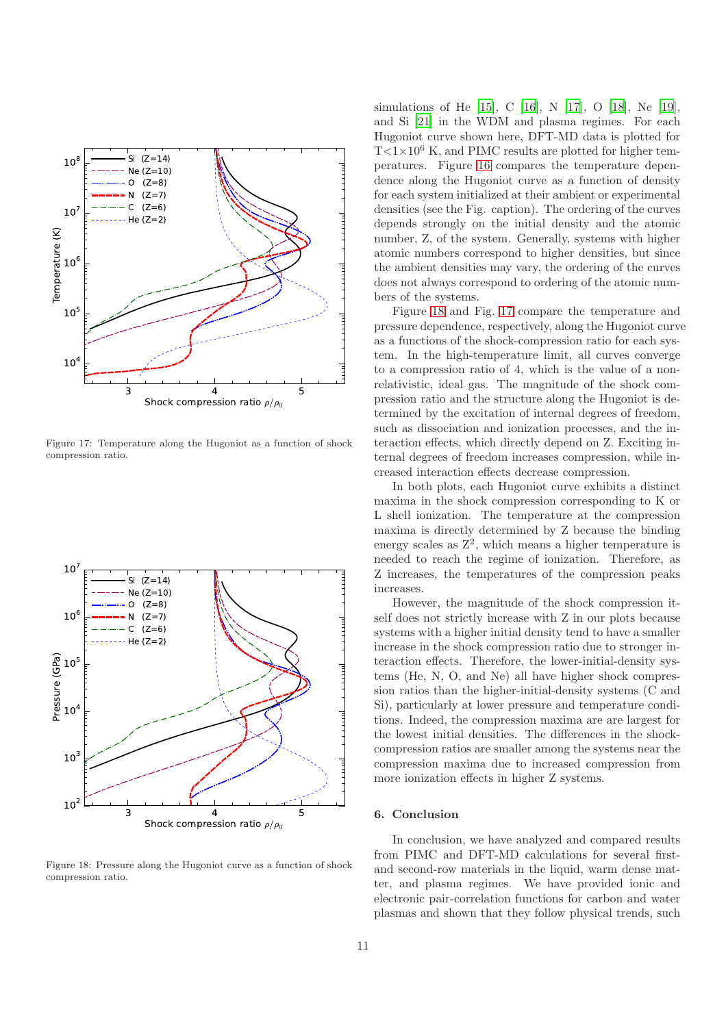

<span id="page-10-1"></span>Figure 17: Temperature along the Hugoniot as a function of shock compression ratio.



<span id="page-10-0"></span>Figure 18: Pressure along the Hugoniot curve as a function of shock compression ratio.

simulations of He [\[15](#page-11-14)], C [\[16](#page-11-15)], N [\[17](#page-11-16)], O [\[18\]](#page-11-17), Ne [\[19](#page-11-18)], and Si [\[21](#page-11-20)] in the WDM and plasma regimes. For each Hugoniot curve shown here, DFT-MD data is plotted for  $T<1\times10^6$  K, and PIMC results are plotted for higher temperatures. Figure [16](#page-9-1) compares the temperature dependence along the Hugoniot curve as a function of density for each system initialized at their ambient or experimental densities (see the Fig. caption). The ordering of the curves depends strongly on the initial density and the atomic number, Z, of the system. Generally, systems with higher atomic numbers correspond to higher densities, but since the ambient densities may vary, the ordering of the curves does not always correspond to ordering of the atomic numbers of the systems.

Figure [18](#page-10-0) and Fig. [17](#page-10-1) compare the temperature and pressure dependence, respectively, along the Hugoniot curve as a functions of the shock-compression ratio for each system. In the high-temperature limit, all curves converge to a compression ratio of 4, which is the value of a nonrelativistic, ideal gas. The magnitude of the shock compression ratio and the structure along the Hugoniot is determined by the excitation of internal degrees of freedom, such as dissociation and ionization processes, and the interaction effects, which directly depend on Z. Exciting internal degrees of freedom increases compression, while increased interaction effects decrease compression.

In both plots, each Hugoniot curve exhibits a distinct maxima in the shock compression corresponding to K or L shell ionization. The temperature at the compression maxima is directly determined by Z because the binding energy scales as  $Z^2$ , which means a higher temperature is needed to reach the regime of ionization. Therefore, as Z increases, the temperatures of the compression peaks increases.

However, the magnitude of the shock compression itself does not strictly increase with Z in our plots because systems with a higher initial density tend to have a smaller increase in the shock compression ratio due to stronger interaction effects. Therefore, the lower-initial-density systems (He, N, O, and Ne) all have higher shock compression ratios than the higher-initial-density systems (C and Si), particularly at lower pressure and temperature conditions. Indeed, the compression maxima are are largest for the lowest initial densities. The differences in the shockcompression ratios are smaller among the systems near the compression maxima due to increased compression from more ionization effects in higher Z systems.

## 6. Conclusion

In conclusion, we have analyzed and compared results from PIMC and DFT-MD calculations for several firstand second-row materials in the liquid, warm dense matter, and plasma regimes. We have provided ionic and electronic pair-correlation functions for carbon and water plasmas and shown that they follow physical trends, such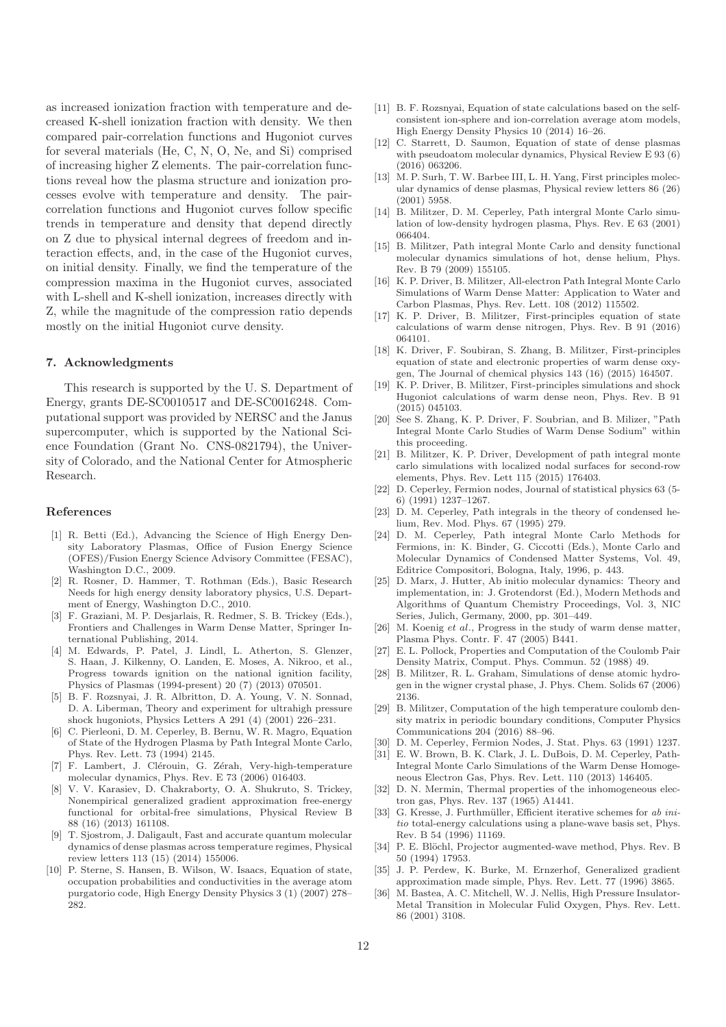as increased ionization fraction with temperature and decreased K-shell ionization fraction with density. We then compared pair-correlation functions and Hugoniot curves for several materials (He, C, N, O, Ne, and Si) comprised of increasing higher Z elements. The pair-correlation functions reveal how the plasma structure and ionization processes evolve with temperature and density. The paircorrelation functions and Hugoniot curves follow specific trends in temperature and density that depend directly on Z due to physical internal degrees of freedom and interaction effects, and, in the case of the Hugoniot curves, on initial density. Finally, we find the temperature of the compression maxima in the Hugoniot curves, associated with L-shell and K-shell ionization, increases directly with Z, while the magnitude of the compression ratio depends mostly on the initial Hugoniot curve density.

## 7. Acknowledgments

This research is supported by the U. S. Department of Energy, grants DE-SC0010517 and DE-SC0016248. Computational support was provided by NERSC and the Janus supercomputer, which is supported by the National Science Foundation (Grant No. CNS-0821794), the University of Colorado, and the National Center for Atmospheric Research.

# References

- <span id="page-11-0"></span>[1] R. Betti (Ed.), Advancing the Science of High Energy Density Laboratory Plasmas, Office of Fusion Energy Science (OFES)/Fusion Energy Science Advisory Committee (FESAC), Washington D.C., 2009.
- <span id="page-11-1"></span>[2] R. Rosner, D. Hammer, T. Rothman (Eds.), Basic Research Needs for high energy density laboratory physics, U.S. Department of Energy, Washington D.C., 2010.
- <span id="page-11-2"></span>[3] F. Graziani, M. P. Desjarlais, R. Redmer, S. B. Trickey (Eds.), Frontiers and Challenges in Warm Dense Matter, Springer International Publishing, 2014.
- <span id="page-11-3"></span>M. Edwards, P. Patel, J. Lindl, L. Atherton, S. Glenzer, S. Haan, J. Kilkenny, O. Landen, E. Moses, A. Nikroo, et al., Progress towards ignition on the national ignition facility, Physics of Plasmas (1994-present) 20 (7) (2013) 070501.
- <span id="page-11-4"></span>[5] B. F. Rozsnyai, J. R. Albritton, D. A. Young, V. N. Sonnad, D. A. Liberman, Theory and experiment for ultrahigh pressure shock hugoniots, Physics Letters A 291 (4) (2001) 226–231.
- <span id="page-11-5"></span>[6] C. Pierleoni, D. M. Ceperley, B. Bernu, W. R. Magro, Equation of State of the Hydrogen Plasma by Path Integral Monte Carlo, Phys. Rev. Lett. 73 (1994) 2145.
- <span id="page-11-6"></span>[7] F. Lambert, J. Clérouin, G. Zérah, Very-high-temperature molecular dynamics, Phys. Rev. E 73 (2006) 016403.
- <span id="page-11-7"></span>[8] V. V. Karasiev, D. Chakraborty, O. A. Shukruto, S. Trickey, Nonempirical generalized gradient approximation free-energy functional for orbital-free simulations, Physical Review B 88 (16) (2013) 161108.
- <span id="page-11-8"></span>[9] T. Sjostrom, J. Daligault, Fast and accurate quantum molecular dynamics of dense plasmas across temperature regimes, Physical review letters 113 (15) (2014) 155006.
- <span id="page-11-9"></span>[10] P. Sterne, S. Hansen, B. Wilson, W. Isaacs, Equation of state, occupation probabilities and conductivities in the average atom purgatorio code, High Energy Density Physics 3 (1) (2007) 278– 282.
- <span id="page-11-10"></span>[11] B. F. Rozsnyai, Equation of state calculations based on the selfconsistent ion-sphere and ion-correlation average atom models, High Energy Density Physics 10 (2014) 16–26.
- <span id="page-11-11"></span>[12] C. Starrett, D. Saumon, Equation of state of dense plasmas with pseudoatom molecular dynamics, Physical Review E 93 (6) (2016) 063206.
- <span id="page-11-12"></span>[13] M. P. Surh, T. W. Barbee III, L. H. Yang, First principles molecular dynamics of dense plasmas, Physical review letters 86 (26) (2001) 5958.
- <span id="page-11-13"></span>[14] B. Militzer, D. M. Ceperley, Path intergral Monte Carlo simulation of low-density hydrogen plasma, Phys. Rev. E 63 (2001) 066404.
- <span id="page-11-14"></span>[15] B. Militzer, Path integral Monte Carlo and density functional molecular dynamics simulations of hot, dense helium, Phys. Rev. B 79 (2009) 155105.
- <span id="page-11-15"></span>[16] K. P. Driver, B. Militzer, All-electron Path Integral Monte Carlo Simulations of Warm Dense Matter: Application to Water and Carbon Plasmas, Phys. Rev. Lett. 108 (2012) 115502.
- <span id="page-11-16"></span>[17] K. P. Driver, B. Militzer, First-principles equation of state calculations of warm dense nitrogen, Phys. Rev. B 91 (2016) 064101.
- <span id="page-11-17"></span>[18] K. Driver, F. Soubiran, S. Zhang, B. Militzer, First-principles equation of state and electronic properties of warm dense oxygen, The Journal of chemical physics 143 (16) (2015) 164507.
- <span id="page-11-18"></span>[19] K. P. Driver, B. Militzer, First-principles simulations and shock Hugoniot calculations of warm dense neon, Phys. Rev. B 91 (2015) 045103.
- <span id="page-11-19"></span>[20] See S. Zhang, K. P. Driver, F. Soubrian, and B. Milizer, "Path Integral Monte Carlo Studies of Warm Dense Sodium" within this proceeding.
- <span id="page-11-20"></span>[21] B. Militzer, K. P. Driver, Development of path integral monte carlo simulations with localized nodal surfaces for second-row elements, Phys. Rev. Lett 115 (2015) 176403.
- <span id="page-11-21"></span>[22] D. Ceperley, Fermion nodes, Journal of statistical physics 63 (5- 6) (1991) 1237–1267.
- <span id="page-11-22"></span>[23] D. M. Ceperley, Path integrals in the theory of condensed helium, Rev. Mod. Phys. 67 (1995) 279.
- <span id="page-11-23"></span>[24] D. M. Ceperley, Path integral Monte Carlo Methods for Fermions, in: K. Binder, G. Ciccotti (Eds.), Monte Carlo and Molecular Dynamics of Condensed Matter Systems, Vol. 49, Editrice Compositori, Bologna, Italy, 1996, p. 443.
- <span id="page-11-24"></span>[25] D. Marx, J. Hutter, Ab initio molecular dynamics: Theory and implementation, in: J. Grotendorst (Ed.), Modern Methods and Algorithms of Quantum Chemistry Proceedings, Vol. 3, NIC Series, Julich, Germany, 2000, pp. 301–449.
- <span id="page-11-25"></span>[26] M. Koenig et al., Progress in the study of warm dense matter, Plasma Phys. Contr. F. 47 (2005) B441.
- <span id="page-11-26"></span>[27] E. L. Pollock, Properties and Computation of the Coulomb Pair Density Matrix, Comput. Phys. Commun. 52 (1988) 49.
- <span id="page-11-27"></span>[28] B. Militzer, R. L. Graham, Simulations of dense atomic hydrogen in the wigner crystal phase, J. Phys. Chem. Solids 67 (2006) 2136.
- <span id="page-11-28"></span>[29] B. Militzer, Computation of the high temperature coulomb density matrix in periodic boundary conditions, Computer Physics Communications 204 (2016) 88–96.
- <span id="page-11-29"></span>[30] D. M. Ceperley, Fermion Nodes, J. Stat. Phys. 63 (1991) 1237.
- <span id="page-11-30"></span>[31] E. W. Brown, B. K. Clark, J. L. DuBois, D. M. Ceperley, Path-Integral Monte Carlo Simulations of the Warm Dense Homogeneous Electron Gas, Phys. Rev. Lett. 110 (2013) 146405.
- <span id="page-11-31"></span>[32] D. N. Mermin, Thermal properties of the inhomogeneous electron gas, Phys. Rev. 137 (1965) A1441.
- <span id="page-11-32"></span>[33] G. Kresse, J. Furthmüller, Efficient iterative schemes for ab initio total-energy calculations using a plane-wave basis set, Phys. Rev. B 54 (1996) 11169.
- <span id="page-11-33"></span>[34] P. E. Blöchl, Projector augmented-wave method, Phys. Rev. B 50 (1994) 17953.
- <span id="page-11-34"></span>[35] J. P. Perdew, K. Burke, M. Ernzerhof, Generalized gradient approximation made simple, Phys. Rev. Lett. 77 (1996) 3865.
- <span id="page-11-35"></span>[36] M. Bastea, A. C. Mitchell, W. J. Nellis, High Pressure Insulator-Metal Transition in Molecular Fulid Oxygen, Phys. Rev. Lett. 86 (2001) 3108.